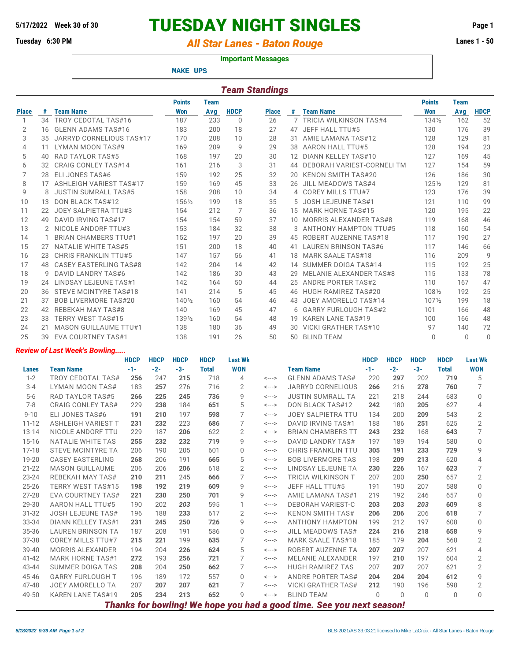# **5/17/2022 Week 30 of 30 TUESDAY NIGHT SINGLES Page 1**

## **Tuesday 6:30 PM** *All Star Lanes - Baton Rouge* **Lanes 1 - 50**

### **Important Messages**

 **MAKE UPS**

|              | <b>Team Standings</b> |                               |               |             |             |              |    |                                |               |             |             |  |
|--------------|-----------------------|-------------------------------|---------------|-------------|-------------|--------------|----|--------------------------------|---------------|-------------|-------------|--|
|              |                       |                               | <b>Points</b> | <b>Team</b> |             |              |    |                                | <b>Points</b> | <b>Team</b> |             |  |
| <b>Place</b> | #                     | <b>Team Name</b>              | <b>Won</b>    | Avg         | <b>HDCP</b> | <b>Place</b> | #  | <b>Team Name</b>               | <b>Won</b>    | Avg         | <b>HDCP</b> |  |
|              | 34                    | <b>TROY CEDOTAL TAS#16</b>    | 187           | 233         | $\Omega$    | 26           |    | <b>TRICIA WILKINSON TAS#4</b>  | $134\%$       | 162         | 52          |  |
| 2            | 16                    | <b>GLENN ADAMS TAS#16</b>     | 183           | 200         | 18          | 27           | 47 | JEFF HALL TTU#5                | 130           | 176         | 39          |  |
| 3            | 35                    | JARRYD CORNELIOUS TAS#17      | 170           | 208         | 10          | 28           | 31 | <b>AMIE LAMANA TAS#12</b>      | 128           | 129         | 81          |  |
| 4            | 11                    | LYMAN MOON TAS#9              | 169           | 209         | 9           | 29           | 38 | <b>AARON HALL TTU#5</b>        | 128           | 194         | 23          |  |
| 5            | 40                    | <b>RAD TAYLOR TAS#5</b>       | 168           | 197         | 20          | 30           | 12 | <b>DIANN KELLEY TAS#10</b>     | 127           | 169         | 45          |  |
| 6            | 32                    | <b>CRAIG CONLEY TAS#14</b>    | 161           | 216         | 3           | 31           |    | DEBORAH VARIEST-CORNELI TM     | 127           | 154         | 59          |  |
|              | 28                    | <b>ELI JONES TAS#6</b>        | 159           | 192         | 25          | 32           | 20 | <b>KENON SMITH TAS#20</b>      | 126           | 186         | 30          |  |
| 8            |                       | 17 ASHLEIGH VARIEST TAS#17    | 159           | 169         | 45          | 33           | 26 | JILL MEADOWS TAS#4             | $125\%$       | 129         | 81          |  |
| 9            | 8                     | <b>JUSTIN SUMRALL TAS#5</b>   | 158           | 208         | 10          | 34           | 4  | <b>COREY MILLS TTU#7</b>       | 123           | 176         | 39          |  |
| 10           | 13                    | <b>DON BLACK TAS#12</b>       | 1561/2        | 199         | 18          | 35           | 5  | <b>JOSH LEJEUNE TAS#1</b>      | 121           | 110         | 99          |  |
| 11           | 22                    | <b>JOEY SALPIETRA TTU#3</b>   | 154           | 212         | 7           | 36           | 15 | <b>MARK HORNE TAS#15</b>       | 120           | 195         | 22          |  |
| 12           | 49                    | <b>DAVID IRVING TAS#17</b>    | 154           | 154         | 59          | 37           | 10 | MORRIS ALEXANDER TAS#8         | 119           | 168         | 46          |  |
| 13           |                       | 2 NICOLE ANDORF TTU#3         | 153           | 184         | 32          | 38           | 3  | <b>ANTHONY HAMPTON TTU#5</b>   | 118           | 160         | 54          |  |
| 14           |                       | <b>BRIAN CHAMBERS TTU#1</b>   | 152           | 197         | 20          | 39           | 45 | <b>ROBERT AUZENNE TAS#18</b>   | 117           | 190         | 27          |  |
| 15           | 27                    | <b>NATALIE WHITE TAS#5</b>    | 151           | 200         | 18          | 40           |    | <b>LAUREN BRINSON TAS#6</b>    | 117           | 146         | 66          |  |
| 16           | 23                    | <b>CHRIS FRANKLIN TTU#5</b>   | 147           | 157         | 56          | 41           | 18 | <b>MARK SAALE TAS#18</b>       | 116           | 209         | 9           |  |
| 17           | 48                    | <b>CASEY EASTERLING TAS#8</b> | 142           | 204         | 14          | 42           | 14 | SUMMER DOIGA TAS#14            | 115           | 192         | 25          |  |
| 18           | 9                     | <b>DAVID LANDRY TAS#6</b>     | 142           | 186         | 30          | 43           | 29 | <b>MELANIE ALEXANDER TAS#8</b> | 115           | 133         | 78          |  |
| 19           | 24                    | LINDSAY LEJEUNE TAS#1         | 142           | 164         | 50          | 44           |    | <b>ANDRE PORTER TAS#2</b>      | 110           | 167         | 47          |  |
| 20           | 36                    | <b>STEVE MCINTYRE TAS#18</b>  | 141           | 214         | 5           | 45           | 46 | <b>HUGH RAMIREZ TAS#20</b>     | 1081/2        | 192         | 25          |  |
| 21           | 37                    | <b>BOB LIVERMORE TAS#20</b>   | 140 1/2       | 160         | 54          | 46           | 43 | JOEY AMORELLO TAS#14           | 1071/2        | 199         | 18          |  |
| 22           | 42                    | <b>REBEKAH MAY TAS#8</b>      | 140           | 169         | 45          | 47           | 6  | <b>GARRY FURLOUGH TAS#2</b>    | 101           | 166         | 48          |  |
| 23           | 33                    | <b>TERRY WEST TAS#15</b>      | 1391/2        | 160         | 54          | 48           | 19 | <b>KAREN LANE TAS#19</b>       | 100           | 166         | 48          |  |
| 24           | 21                    | <b>MASON GUILLAUME TTU#1</b>  | 138           | 180         | 36          | 49           |    | VICKI GRATHER TAS#10           | 97            | 140         | 72          |  |
| 25           | 39                    | <b>EVA COURTNEY TAS#1</b>     | 138           | 191         | 26          | 50           | 50 | <b>BLIND TEAM</b>              | $\Omega$      | $\Omega$    | $\Omega$    |  |

#### *Review of Last Week's Bowling.....*

|           |                           | <b>HDCP</b> | <b>HDCP</b> | <b>HDCP</b> | <b>HDCP</b>  | <b>Last Wk</b> |                            |                                                                       | <b>HDCP</b> | <b>HDCP</b> | <b>HDCP</b> | <b>HDCP</b>  | <b>Last Wk</b> |
|-----------|---------------------------|-------------|-------------|-------------|--------------|----------------|----------------------------|-----------------------------------------------------------------------|-------------|-------------|-------------|--------------|----------------|
| Lanes     | <b>Team Name</b>          | -1-         | $-2-$       | $-3-$       | <b>Total</b> | <b>WON</b>     |                            | <b>Team Name</b>                                                      | $-1-$       | $-2-$       | $-3-$       | <b>Total</b> | <b>WON</b>     |
| $1 - 2$   | TROY CEDOTAL TAS#         | 256         | 247         | 215         | 718          | 4              | <--->                      | <b>GLENN ADAMS TAS#</b>                                               | 220         | 297         | 202         | 719          | 5              |
| $3 - 4$   | LYMAN MOON TAS#           | 183         | 257         | 276         | 716          | 2              | <--->                      | <b>JARRYD CORNELIOUS</b>                                              | 266         | 216         | 278         | 760          |                |
| $5-6$     | <b>RAD TAYLOR TAS#5</b>   | 266         | 225         | 245         | 736          | $\mathsf{Q}$   | $\leftarrow$ $\rightarrow$ | <b>JUSTIN SUMRALL TA</b>                                              | 221         | 218         | 244         | 683          | 0              |
| $7 - 8$   | <b>CRAIG CONLEY TAS#</b>  | 229         | 238         | 184         | 651          | 5              | <--->                      | <b>DON BLACK TAS#12</b>                                               | 242         | 180         | 205         | 627          | 4              |
| $9 - 10$  | <b>ELI JONES TAS#6</b>    | 191         | 210         | 197         | 598          | 7              | <--->                      | <b>JOEY SALPIETRA TTU</b>                                             | 134         | 200         | 209         | 543          | 2              |
| $11 - 12$ | <b>ASHLEIGH VARIEST T</b> | 231         | 232         | 223         | 686          | 7              | <--->                      | <b>DAVID IRVING TAS#1</b>                                             | 188         | 186         | 251         | 625          | $\overline{2}$ |
| $13 - 14$ | NICOLE ANDORF TTU         | 229         | 187         | 206         | 622          | 2              | <--->                      | <b>BRIAN CHAMBERS TT</b>                                              | 243         | 232         | 168         | 643          | 7              |
| $15 - 16$ | NATALIE WHITE TAS         | 255         | 232         | 232         | 719          | 9              | $\leftarrow$ $\rightarrow$ | DAVID LANDRY TAS#                                                     | 197         | 189         | 194         | 580          | 0              |
| $17 - 18$ | <b>STEVE MCINTYRE TA</b>  | 206         | 190         | 205         | 601          | $\Omega$       | <--->                      | <b>CHRIS FRANKLIN TTU</b>                                             | 305         | 191         | 233         | 729          | $\mathsf{Q}$   |
| 19-20     | <b>CASEY EASTERLING</b>   | 268         | 206         | 191         | 665          | 5              | $\leftarrow$ $\rightarrow$ | <b>BOB LIVERMORE TAS</b>                                              | 198         | 209         | 213         | 620          | 4              |
| $21 - 22$ | <b>MASON GUILLAUME</b>    | 206         | 206         | 206         | 618          | $\overline{2}$ | <--->                      | LINDSAY LEJEUNE TA                                                    | 230         | 226         | 167         | 623          | 7              |
| $23 - 24$ | <b>REBEKAH MAY TAS#</b>   | 210         | 211         | 245         | 666          | 7              | <--->                      | TRICIA WILKINSON T                                                    | 207         | 200         | 250         | 657          | $\overline{2}$ |
| $25 - 26$ | <b>TERRY WEST TAS#15</b>  | 198         | 192         | 219         | 609          | 9              | <--->                      | <b>JEFF HALL TTU#5</b>                                                | 191         | 190         | 207         | 588          | $\Omega$       |
| $27 - 28$ | EVA COURTNEY TAS#         | 221         | 230         | 250         | 701          | 9              | <--->                      | <b>AMIE LAMANA TAS#1</b>                                              | 219         | 192         | 246         | 657          | $\Omega$       |
| 29-30     | AARON HALL TTU#5          | 190         | 202         | 203         | 595          | 1              | $\leftarrow$ $\rightarrow$ | <b>DEBORAH VARIEST-C</b>                                              | 203         | 203         | 203         | 609          | 8              |
| $31 - 32$ | <b>JOSH LEJEUNE TAS#</b>  | 196         | 188         | 233         | 617          | 2              | <--->                      | <b>KENON SMITH TAS#</b>                                               | 206         | 206         | 206         | 618          | 7              |
| 33-34     | <b>DIANN KELLEY TAS#1</b> | 231         | 245         | 250         | 726          | 9              | <--->                      | <b>ANTHONY HAMPTON</b>                                                | 199         | 212         | 197         | 608          | 0              |
| 35-36     | <b>LAUREN BRINSON TA</b>  | 187         | 208         | 191         | 586          | $\Omega$       | <--->                      | <b>JILL MEADOWS TAS#</b>                                              | 224         | 216         | 218         | 658          | 9              |
| 37-38     | <b>COREY MILLS TTU#7</b>  | 215         | 221         | 199         | 635          | 7              | <--->                      | <b>MARK SAALE TAS#18</b>                                              | 185         | 179         | 204         | 568          | $\overline{2}$ |
| $39 - 40$ | <b>MORRIS ALEXANDER</b>   | 194         | 204         | 226         | 624          | 5              | $\leftarrow$ --->          | ROBERT AUZENNE TA                                                     | 207         | 207         | 207         | 621          | 4              |
| $41 - 42$ | <b>MARK HORNE TAS#1</b>   | 272         | 193         | 256         | 721          | 7              | $\leftarrow$ $\rightarrow$ | <b>MELANIE ALEXANDER</b>                                              | 197         | 210         | 197         | 604          | $\overline{2}$ |
| 43-44     | <b>SUMMER DOIGA TAS</b>   | 208         | 204         | 250         | 662          | 7              | <--->                      | <b>HUGH RAMIREZ TAS</b>                                               | 207         | 207         | 207         | 621          | $\overline{2}$ |
| 45-46     | <b>GARRY FURLOUGH T</b>   | 196         | 189         | 172         | 557          | 0              | <--->                      | <b>ANDRE PORTER TAS#</b>                                              | 204         | 204         | 204         | 612          | 9              |
| 47-48     | <b>JOEY AMORELLO TA</b>   | 207         | 207         | 207         | 621          | 7              | <--->                      | <b>VICKI GRATHER TAS#</b>                                             | 212         | 190         | 196         | 598          | $\overline{2}$ |
| 49-50     | <b>KAREN LANE TAS#19</b>  | 205         | 234         | 213         | 652          | g              | <--->                      | <b>BLIND TEAM</b>                                                     | $\Omega$    | $\Omega$    | $\Omega$    | 0            | $\Omega$       |
|           |                           |             |             |             |              |                |                            | Thonka far hawling! We hang vay had a good time. Can vay nort coopen! |             |             |             |              |                |

*Thanks for bowling! We hope you had a good time. See you next season!*